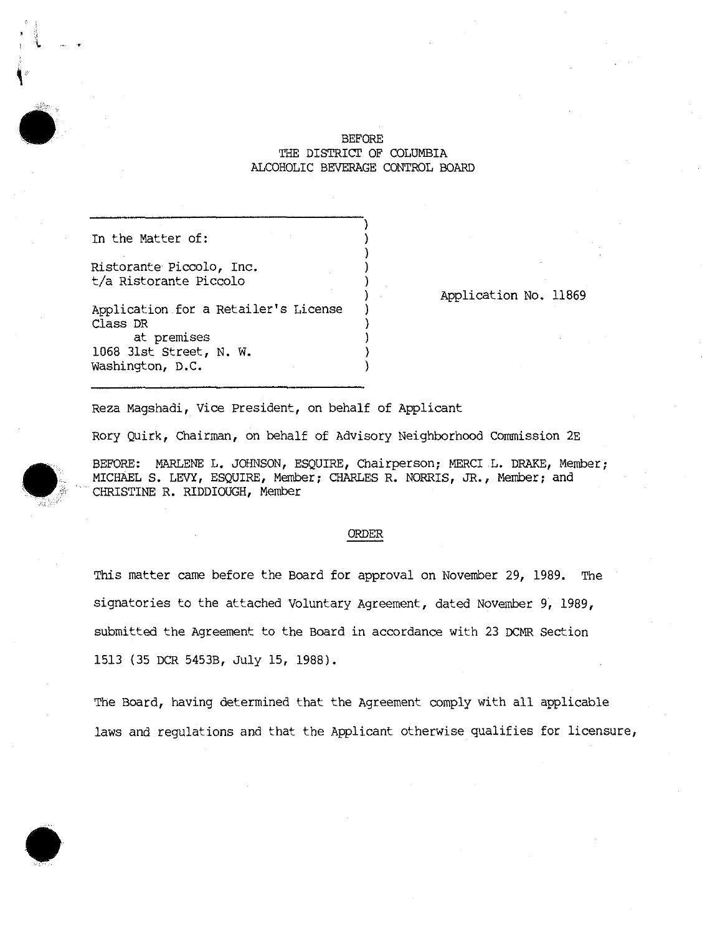## BEFORE THE DISTRICT OF COLUMBIA ALCOHOLIC BEVERAGE CONTROL BOARD

)

)

)

In the Matter of:

Ristorante Piccolo, Inc. ) t/a Ristorante Piccolo )

Application.for a Retailer's License ) Class DR ) at premises 1068 31st Street, N. W. ) Washington, D.C. )

Application No. 11869

Reza Magshadi, Vice president, on behalf of Applicant

Rory Quirk, Chairman, on behalf of Advisory Neighborhood Commission 2E

BEFORE: MARLENE L. JOHNSON, ESQUIRE, Chairperson; MERCI L. DRAKE, Member; MICHAEL S. LEVY, ESQUIRE, Member; CHARLES R. NORRIS, JR., Member; and CHRISTINE R. RIDDIOUGH, Member

## ORDER

This matter came before the Board for approval on November 29, 1989. The signatories to the attached Voluntary Agreement, dated November 9, 1989, submitted the Agreement to the Board in accordance with 23 DCMR Section 1513 (35 OCR 5453B, July 15, 1988).

The Board, having determined that the Agreement comply with all applicable laws and regulations and that the Applicant otherwise qualifies for licensure,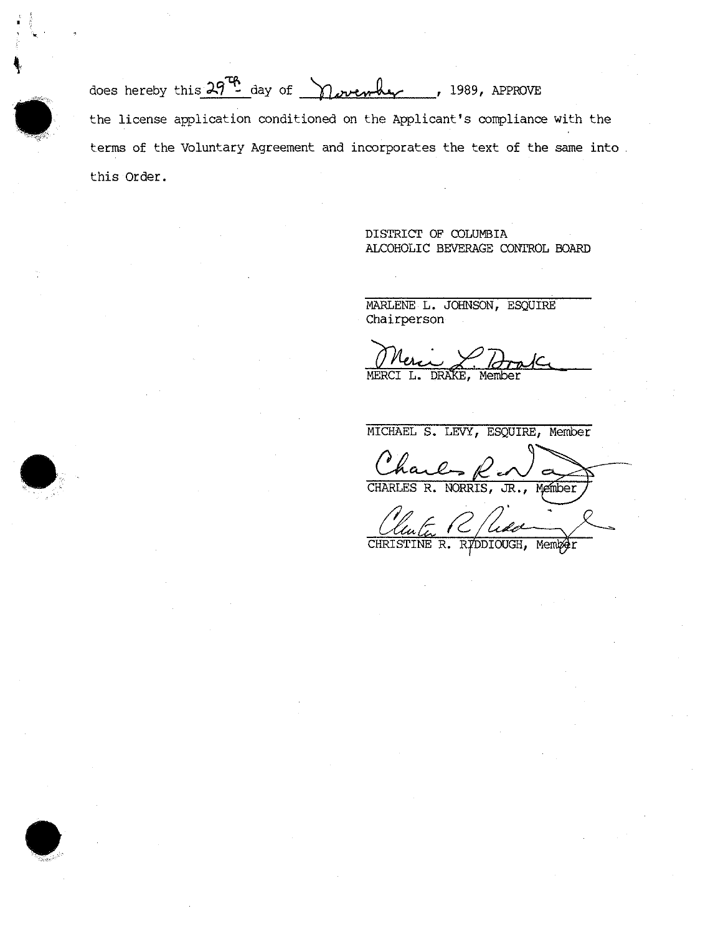does hereby this  $29^{76}$  day of november , 1989, APPROVE the license application conditioned on the Applicant's compliance with the terms of the Voluntary Agreement and incorporates the text of the same into this Order.

> DISTRICT OF COLUMBIA ALCOHOLIC BEVERAGE CONTROL BOARD

MARLENE L. JOHNSON, ESQUIRE Chairperson

MERCI **L.** DRAKE, Member

MICHAEL S. LEVY, ESQUIRE, Member CHARLES R. NORRIS, JR., Member

CHRISTINE R. RYDDIOUGH, Member

c •  $\frac{1}{2}$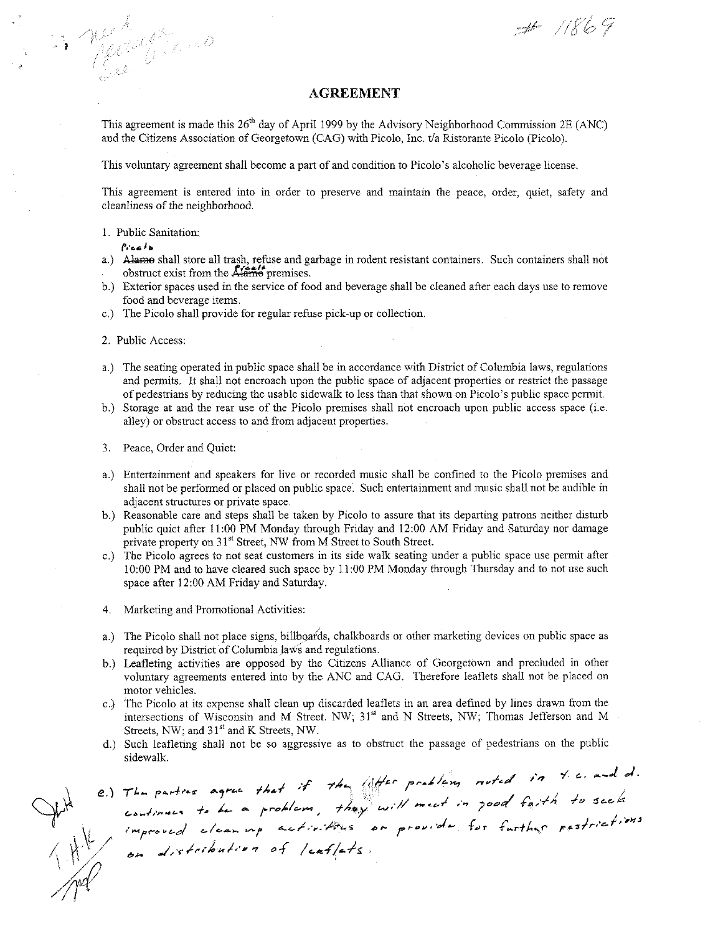$# 1869$ 

## **AGREEMENT**

This agreement is made this  $26<sup>th</sup>$  day of April 1999 by the Advisory Neighborhood Commission 2E (ANC) and the Citizens Association of Georgetown (CAG) with Picolo, Inc. t/a Ristorante Picolo (Picolo).

This voluntary agreement shall become a part of and condition to Picolo's alcoholic beverage license.

**This agreement is entered into in order to preserve and maintain the peace, order, quiet, safety and**  cleanliness of the neighborhood.

I. Public Sanitation:

*(,.'r...* **J***<sup>b</sup>*

in Merchans

- a.) Alame shall store all trash, refuse and garbage in rodent resistant containers. Such containers shall not bostruct exist from the **Alame** premises.
- b.) Exterior spaces used in the service of food and beverage shall be cleaned after each days use to remove food and beverage items.
- c.) The Picolo shall provide for regular refuse pick-up or collection.

2. Public Access:

- a.) The seating operated in public space shall be in accordance with District of Columbia laws, regulations and permits. It shall not encroach upon the public space of adjacent properties or restrict the passage of pedestrians by reducing the usable sidewalk to less than that shown on Picolo's public space permit.
- b.) Storage at and the rear use of the Picolo premises shall not encroach upon public access space (i.e. **alley) or obstruct access to and from adjacent properties.**
- 3. Peace, Order and Quiet:
- **a.) Entertaimnent and speakers for live or recorded music shall be confined to the Picolo premises and**  shall not be performed or placed on public space. Such entertainmcnt and music shall not be audible in **adjacent structures or private space.**
- b.) Reasonable care and steps shall be taken by Picolo to assure that its departing patrons neither disturb public quiet after II :00 PM Monday through Friday and 12:00 AM Friday and Saturday nor damage private property on 31<sup>st</sup> Street, NW from M Street to South Street.
- **c.) The Picolo agrees to not seat customers in its side walk seating under a public space use pennit after**  10:00 PM and to have cleared such space by 11:00 PM Monday through Thursday and to not use such space after 12:00 AM Friday and Saturday.
- **4. Marketing and Promotional Activities:**
- a.) The Picolo shall not place signs, billboards, chalkboards or other marketing devices on public space as required by District of Columbia laws and regulations.
- b.) Leafleting activities are opposed by the Citizens Alliance of Georgetown and precluded in other voluntary agreements entered into by the ANC and CAG. Therefore leaflets shall not be placed on **motor vehicles.**
- c.) The Picolo at its expense shall clean up discarded leaflets in an area defined by lines drawn from the intersections of Wisconsin and M Street. NW; 31" and N Streets, NW; Thomas Jefferson and M Streets, NW; and 31" and K Streets, NW.
- d.) Such leafleting shall not be so aggressive as to obstruct the passage of pedestrians on the public

sidewalk.<br>
e.) The parties agree that if the lifter problem noted in 4.6. and d.<br>
continues to be a problem, they will meet in 700d faith to seek<br>
improved cleaning activities or provide for further pastrictions<br>
on distri